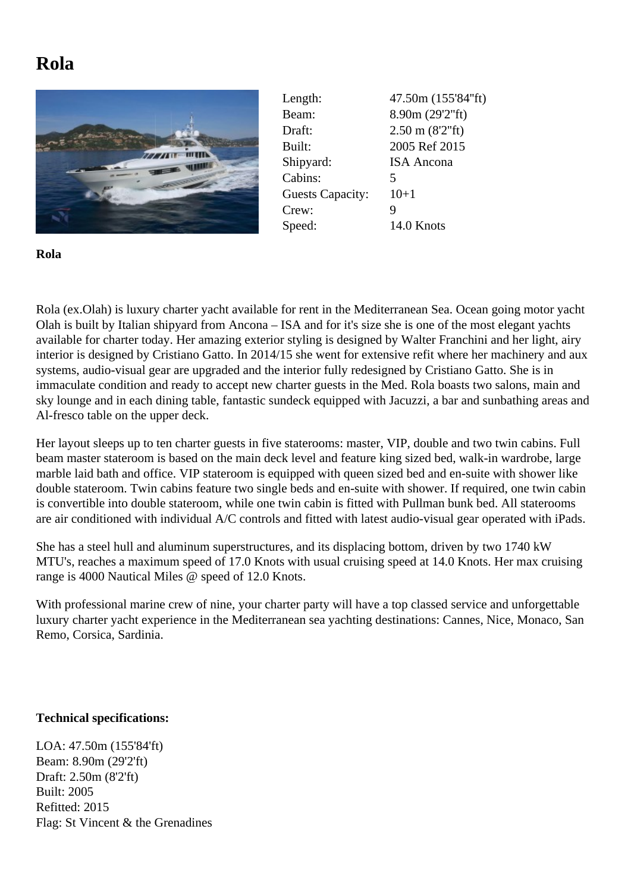## **Rola**



| Length:                 | 47.50m (155'84"ft)   |
|-------------------------|----------------------|
| Beam:                   | 8.90m (29'2"ft)      |
| Draft:                  | $2.50$ m $(8'2"$ ft) |
| Built:                  | 2005 Ref 2015        |
| Shipyard:               | <b>ISA</b> Ancona    |
| Cabins:                 | 5                    |
| <b>Guests Capacity:</b> | $10+1$               |
| Crew:                   | 9                    |
| Speed:                  | 14.0 Knots           |

**Rola**

Rola (ex.Olah) is luxury charter yacht available for rent in the Mediterranean Sea. Ocean going motor yacht Olah is built by Italian shipyard from Ancona – ISA and for it's size she is one of the most elegant yachts available for charter today. Her amazing exterior styling is designed by Walter Franchini and her light, airy interior is designed by Cristiano Gatto. In 2014/15 she went for extensive refit where her machinery and aux systems, audio-visual gear are upgraded and the interior fully redesigned by Cristiano Gatto. She is in immaculate condition and ready to accept new charter guests in the Med. Rola boasts two salons, main and sky lounge and in each dining table, fantastic sundeck equipped with Jacuzzi, a bar and sunbathing areas and Al-fresco table on the upper deck.

Her layout sleeps up to ten charter guests in five staterooms: master, VIP, double and two twin cabins. Full beam master stateroom is based on the main deck level and feature king sized bed, walk-in wardrobe, large marble laid bath and office. VIP stateroom is equipped with queen sized bed and en-suite with shower like double stateroom. Twin cabins feature two single beds and en-suite with shower. If required, one twin cabin is convertible into double stateroom, while one twin cabin is fitted with Pullman bunk bed. All staterooms are air conditioned with individual A/C controls and fitted with latest audio-visual gear operated with iPads.

She has a steel hull and aluminum superstructures, and its displacing bottom, driven by two 1740 kW MTU's, reaches a maximum speed of 17.0 Knots with usual cruising speed at 14.0 Knots. Her max cruising range is 4000 Nautical Miles @ speed of 12.0 Knots.

With professional marine crew of nine, your charter party will have a top classed service and unforgettable luxury charter yacht experience in the Mediterranean sea yachting destinations: Cannes, Nice, Monaco, San Remo, Corsica, Sardinia.

## **Technical specifications:**

LOA: 47.50m (155'84'ft) Beam: 8.90m (29'2'ft) Draft: 2.50m (8'2'ft) Built: 2005 Refitted: 2015 Flag: St Vincent & the Grenadines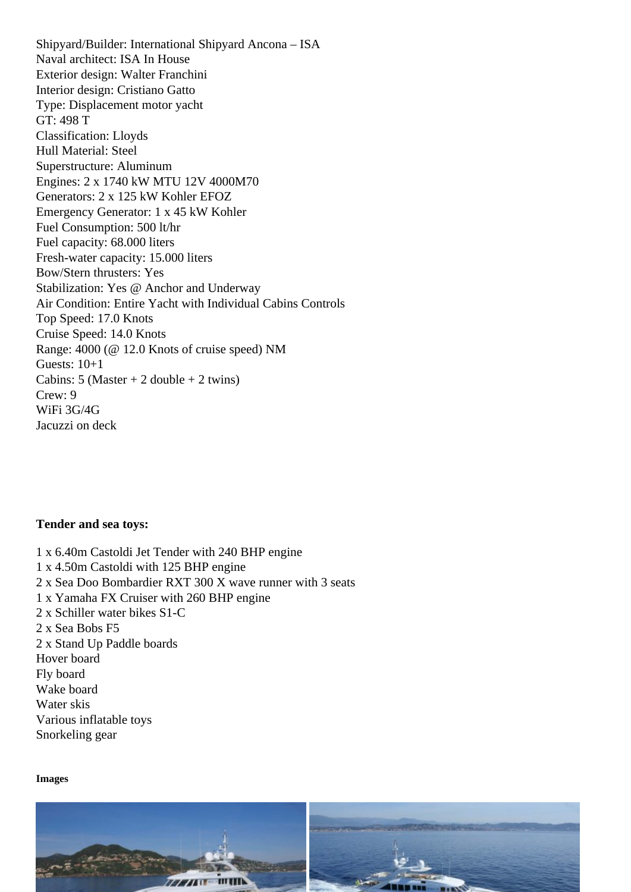Naval architect: ISA In House Exterior design: Walter Franchini Interior design: Cristiano Gatto Type: Displacement motor yacht GT: 498 T Classification: Lloyds Hull Material: Steel Superstructure: Aluminum Engines: 2 x 1740 kW MTU 12V 4000M70 Generators: 2 x 125 kW Kohler EFOZ Emergency Generator: 1 x 45 kW Kohler Fuel Consumption: 500 lt/hr Fuel capacity: 68.000 liters Fresh-water capacity: 15.000 liters Bow/Stern thrusters: Yes Stabilization: Yes @ Anchor and Underway Air Condition: Entire Yacht with Individual Cabins Controls Top Speed: 17.0 Knots Cruise Speed: 14.0 Knots Range: 4000 (@ 12.0 Knots of cruise speed) NM Guests: 10+1 Cabins: 5 (Master + 2 double + 2 twins) Crew: 9 WiFi 3G/4G Jacuzzi on deck

Tender and sea toys:

1 x 6.40m Castoldi Jet Tender with 240 BHP engine 1 x 4.50m Castoldi with 125 BHP engine 2 x Sea Doo Bombardier RXT 300 X wave runner with 3 seats 1 x Yamaha FX Cruiser with 260 BHP engine 2 x Schiller water bikes S1-C 2 x Sea Bobs F5 2 x Stand Up Paddle boards Hover board Fly board Wake board Water skis Various inflatable toys Snorkeling gear

Images